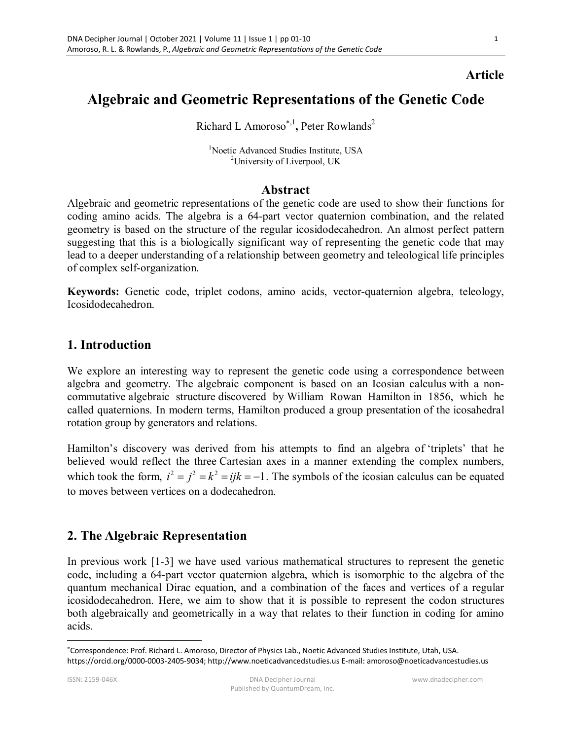## **Article**

# **Algebraic and Geometric Representations of the Genetic Code**

Richard L Amoroso<sup>\*,1</sup>, Peter Rowlands<sup>2</sup>

<sup>1</sup>Noetic Advanced Studies Institute, USA <sup>2</sup>University of Liverpool, UK

#### **Abstract**

Algebraic and geometric representations of the genetic code are used to show their functions for coding amino acids. The algebra is a 64-part vector quaternion combination, and the related geometry is based on the structure of the regular icosidodecahedron. An almost perfect pattern suggesting that this is a biologically significant way of representing the genetic code that may lead to a deeper understanding of a relationship between geometry and teleological life principles of complex self-organization.

**Keywords:** Genetic code, triplet codons, amino acids, vector-quaternion algebra, teleology, Icosidodecahedron.

#### **1. Introduction**

We explore an interesting way to represent the genetic code using a correspondence between algebra and geometry. The algebraic component is based on an Icosian calculus with a noncommutative algebraic structure discovered by William Rowan Hamilton in 1856, which he called quaternions. In modern terms, Hamilton produced a group presentation of the icosahedral rotation group by generators and relations.

Hamilton's discovery was derived from his attempts to find an algebra of 'triplets' that he believed would reflect the three Cartesian axes in a manner extending the complex numbers, which took the form,  $i^2 = i^2 = k^2 = iik = -1$ . The symbols of the icosian calculus can be equated to moves between vertices on a dodecahedron.

## **2. The Algebraic Representation**

In previous work [1-3] we have used various mathematical structures to represent the genetic code, including a 64-part vector quaternion algebra, which is isomorphic to the algebra of the quantum mechanical Dirac equation, and a combination of the faces and vertices of a regular icosidodecahedron. Here, we aim to show that it is possible to represent the codon structures both algebraically and geometrically in a way that relates to their function in coding for amino acids.

 $\overline{a}$ 

Correspondence: Prof. Richard L. Amoroso, Director of Physics Lab., Noetic Advanced Studies Institute, Utah, USA. https://orcid.org/0000-0003-2405-9034; http://www.noeticadvancedstudies.us E-mail: amoroso@noeticadvancestudies.us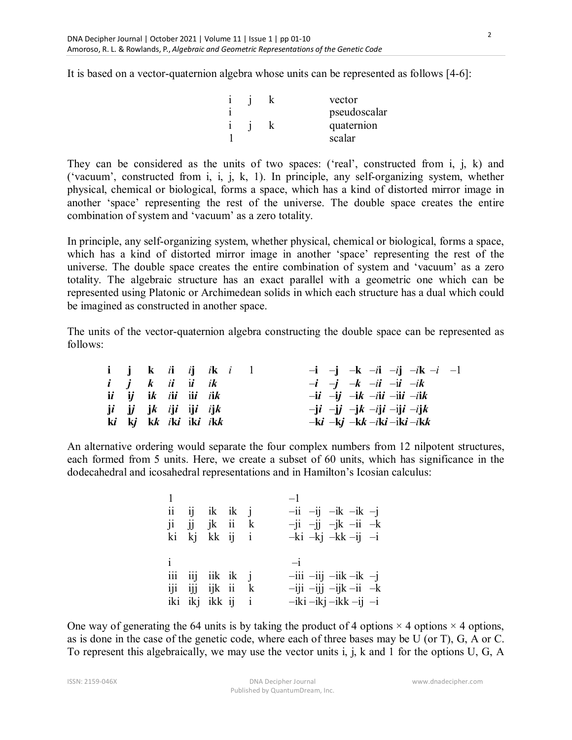It is based on a vector-quaternion algebra whose units can be represented as follows [4-6]:

|  |  | vector       |
|--|--|--------------|
|  |  | pseudoscalar |
|  |  | quaternion   |
|  |  | scalar       |

They can be considered as the units of two spaces: ('real', constructed from i, j, k) and ('vacuum', constructed from i, i, j, k, 1). In principle, any self-organizing system, whether physical, chemical or biological, forms a space, which has a kind of distorted mirror image in another 'space' representing the rest of the universe. The double space creates the entire combination of system and 'vacuum' as a zero totality.

In principle, any self-organizing system, whether physical, chemical or biological, forms a space, which has a kind of distorted mirror image in another 'space' representing the rest of the universe. The double space creates the entire combination of system and 'vacuum' as a zero totality. The algebraic structure has an exact parallel with a geometric one which can be represented using Platonic or Archimedean solids in which each structure has a dual which could be imagined as constructed in another space.

The units of the vector-quaternion algebra constructing the double space can be represented as follows:

|  | $i$ jk $ii$ $ij$ $ik$ $i$ 1 |  |  | $-i$ $-j$ $-k$ $-i$ $-i$ $-k$ $-i$ $-1$                                                      |
|--|-----------------------------|--|--|----------------------------------------------------------------------------------------------|
|  | $i$ j $k$ $ii$ $ii$ $ik$    |  |  | $-i$ $-i$ $-k$ $-i$ $-i$ $-i$                                                                |
|  | ii ij ik <i>iii</i> iii iik |  |  | $-{\bf i}i$ $-{\bf i}j$ $-{\bf i}k$ $-{\bf i}{\bf i}i$ $-{\bf i}{\bf i}i$ $-{\bf i}{\bf i}k$ |
|  | ji ji jk iji iji ijk        |  |  | $-ji$ $-jj$ $-jk$ $-iji$ $-iji$ $-ijk$                                                       |
|  | ki kj kk iki iki ikk        |  |  | $-ki$ $-kj$ $-kk$ $-iki$ $-iki$                                                              |

An alternative ordering would separate the four complex numbers from 12 nilpotent structures, each formed from 5 units. Here, we create a subset of 60 units, which has significance in the dodecahedral and icosahedral representations and in Hamilton's Icosian calculus:

|  | $ii$ $ii$ $ik$ $ik$ $j$<br>$ji$ $jj$ $jk$ $ii$ $k$<br>ki kj kk ij i |  | $-ii$ $-ii$ $-ik$ $-ik$ $-1$<br>$-ji$ $-ji$ $-jk$ $-ii$ $-k$<br>$-ki$ $-ki$ $-kk$ $-ij$ $-i$               |
|--|---------------------------------------------------------------------|--|------------------------------------------------------------------------------------------------------------|
|  | $iii$ $iij$ $iik$ $ik$ $j$<br>iji ijj ijk ii k<br>iki ikj ikk ij i  |  | $-iii$ $-iij$ $-iik$ $-ik$ $-j$<br>$-iji$ $-ijj$ $-ijk$ $-ii$ $-k$<br>$-$ iki $-$ ikj $-$ ikk $-$ ij $-$ i |

One way of generating the 64 units is by taking the product of 4 options  $\times$  4 options  $\times$  4 options, as is done in the case of the genetic code, where each of three bases may be U (or T), G, A or C. To represent this algebraically, we may use the vector units i, j, k and 1 for the options U, G, A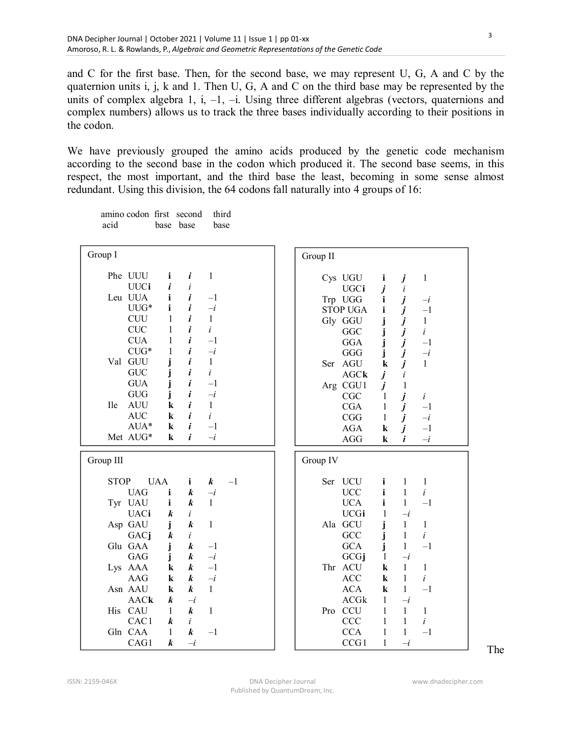and C for the first base. Then, for the second base, we may represent U, G, A and C by the quaternion units i, j, k and 1. Then U, G, A and C on the third base may be represented by the units of complex algebra 1, i,  $-1$ ,  $-i$ . Using three different algebras (vectors, quaternions and complex numbers) allows us to track the three bases individually according to their positions in the codon.

We have previously grouped the amino acids produced by the genetic code mechanism according to the second base in the codon which produced it. The second base seems, in this respect, the most important, and the third base the least, becoming in some sense almost redundant. Using this division, the 64 codons fall naturally into 4 groups of 16:

| amino codon first second third |                |  |
|--------------------------------|----------------|--|
| acid                           | hase hase hase |  |

| Group I                                                                                                                                                                                                                                                                                                                                                                                                                                                                                                                                                                                  | Group II                                                                                                                                                                                                                                                                                                                                                                                                                                                                                                                                                                                                                                          |
|------------------------------------------------------------------------------------------------------------------------------------------------------------------------------------------------------------------------------------------------------------------------------------------------------------------------------------------------------------------------------------------------------------------------------------------------------------------------------------------------------------------------------------------------------------------------------------------|---------------------------------------------------------------------------------------------------------------------------------------------------------------------------------------------------------------------------------------------------------------------------------------------------------------------------------------------------------------------------------------------------------------------------------------------------------------------------------------------------------------------------------------------------------------------------------------------------------------------------------------------------|
| Phe UUU<br>$\mathbf{1}$<br>i<br>i<br><b>UUCi</b><br>i<br>$\dot{i}$<br>Leu UUA<br>i<br>i<br>$-1$<br>$UUG*$<br>i<br>i<br>$-i$<br>i<br><b>CUU</b><br>1<br>$\mathbf{1}$<br><b>CUC</b><br>i<br>$\dot{i}$<br>1<br><b>CUA</b><br>i<br>1<br>$-1$<br>${\rm CUG^*}$<br>i<br>$-i$<br>1<br>Val GUU<br>i<br>$\mathbf{1}$<br><b>GUC</b><br>i<br>$\dot{i}$<br>i<br><b>GUA</b><br>j<br>$-1$<br><b>GUG</b><br>i<br>$-i$<br>j<br><b>AUU</b><br>i<br><b>Ile</b><br>$\mathbf{1}$<br>$\bf k$<br><b>AUC</b><br>i<br>$\dot{i}$<br>$\bf k$<br>$AUA*$<br>i<br>$-1$<br>$\bf k$<br>Met AUG*<br>i<br>$-i$<br>$\bf k$ | Cys UGU<br>$\mathbf{1}$<br>i<br>j<br>j<br>UGCi<br>i<br>j<br>j<br>Trp UGG<br>$\mathbf{i}$<br>$-i$<br>i<br><b>STOP UGA</b><br>$-1$<br>$j$<br>$j$<br>$j$<br>j<br>Gly GGU<br>$\mathbf{1}$<br>$\dot{i}$<br>j<br>GGC<br>j<br><b>GGA</b><br>$-1$<br>$\overline{\boldsymbol{j}}$<br>$-i$<br>j<br>GGG<br>$\dot{i}$<br>Ser AGU<br>$\mathbf{1}$<br>$\bf k$<br>AGCk<br>$\boldsymbol{j}$<br>i<br>$\boldsymbol{j}$<br>Arg CGU1<br>$\mathbf{1}$<br>$\boldsymbol{j}$<br>CGC<br>$\mathbf{1}$<br>$\dot{i}$<br>j<br>CGA<br>$\mathbf{1}$<br>$-1$<br>j<br>$-\boldsymbol{i}$<br>CGG<br>$\mathbf{1}$<br>j<br><b>AGA</b><br>$-1$<br>k<br>$-i$<br>$\mathbf{i}$<br>AGG<br>k |
| Group III                                                                                                                                                                                                                                                                                                                                                                                                                                                                                                                                                                                | Group IV                                                                                                                                                                                                                                                                                                                                                                                                                                                                                                                                                                                                                                          |
| <b>UAA</b><br><b>STOP</b><br>$\mathbf{i}$<br>$\boldsymbol{k}$<br>$-1$<br><b>UAG</b><br>i<br>$\boldsymbol{k}$<br>$-i$<br>Tyr UAU<br>i<br>$\mathbf{1}$<br>$\boldsymbol{k}$<br><b>UACi</b><br>$\boldsymbol{k}$<br>i                                                                                                                                                                                                                                                                                                                                                                         | Ser UCU<br>i<br>1<br>1<br><b>UCC</b><br>i<br>$\mathbf{1}$<br>$\dot{i}$<br><b>UCA</b><br>i<br>$\mathbf{1}$<br>$-1$<br><b>UCGi</b><br>$-i$<br>1                                                                                                                                                                                                                                                                                                                                                                                                                                                                                                     |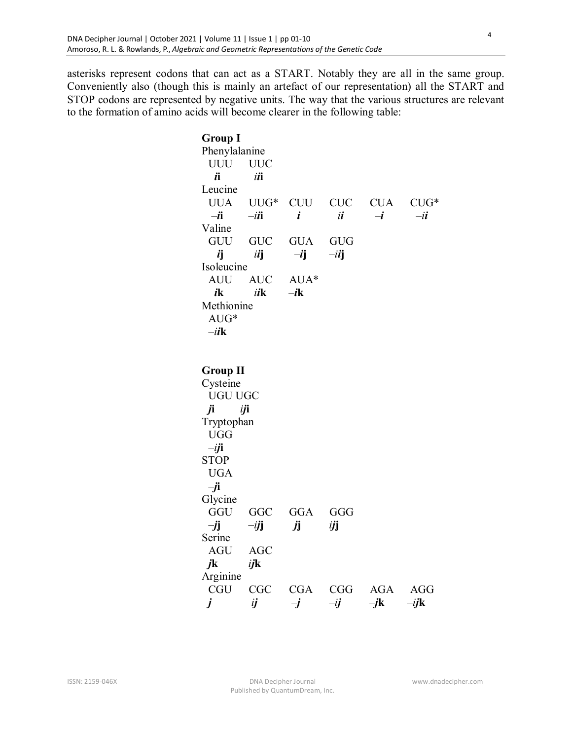asterisks represent codons that can act as a START. Notably they are all in the same group. Conveniently also (though this is mainly an artefact of our representation) all the START and STOP codons are represented by negative units. The way that the various structures are relevant to the formation of amino acids will become clearer in the following table:

> **Group I**  Phenylalanine UUU UUC  $i$ **i**  $i$ **ii** Leucine UUA UUG\* CUU CUC CUA CUG\* –*i***i** –*ii***i** *i**ii*–*i*–*ii* Valine GUU GUC GUA GUG  $\vec{i}$ **j**  $-\vec{i}$ **j**  $-\vec{i}$ **j** Isoleucine AUU AUC AUA\*  $i$ **k**  $i$ *i***<b>k**  $-i$ **k** Methionine AUG\* –*ii***k Group II**  Cysteine UGU UGC *j***i** *ij***i** Tryptophan UGG –*ij***i** STOP UGA –*j***i** Glycine GGU GGC GGA GGG –*j***j** –*ij***j** *j***j** *ij***j** Serine AGU AGC *j***k** *ij***k** Arginine CGU CGC CGA CGG AGA AGG  *j ij* –*j* –*ij* –*j***k** –*ij***k**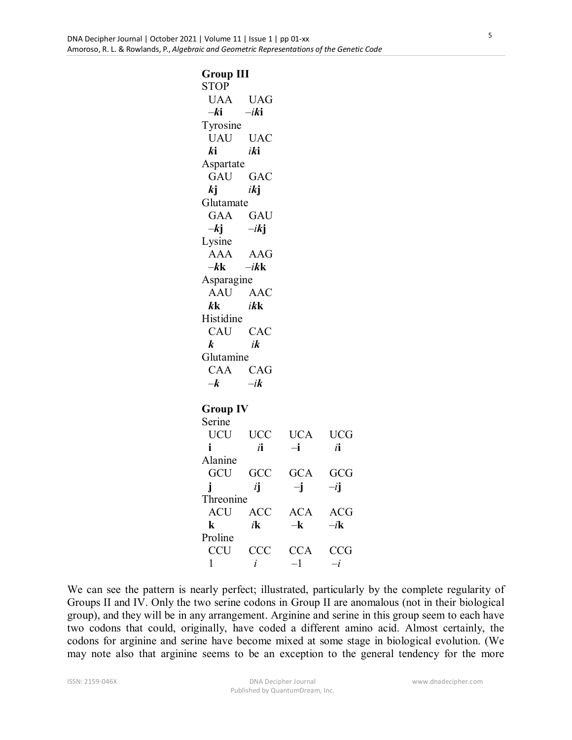**Group III**  STOP UAA UAG –*k***i**–*ik***i** Tyrosine UAU UAC  $k$ **i** *ik***i** Aspartate GAU GAC  $k$ **j** *ik***j** Glutamate GAA GAU  $-ki$   $-ikj$ Lysine AAA AAG –*k***k**–*ik***k** Asparagine AAU AAC  $k$ **kk**  $i$ **kk** Histidine CAU CAC  *k**ik* Glutamine CAA CAG –*k* –*ik* **Group IV**  Serine UCU UCC UCA UCG **i** *i***i** –**i** *i***i** Alanine GCU GCC GCA GCG **j** *i***j** –**j** –*i***j** Threonine ACU ACC ACA ACG **k** *i***k** –**k** –*i***k** Proline CCU CCC CCA CCG 1 *i* –1 –*i*

We can see the pattern is nearly perfect; illustrated, particularly by the complete regularity of Groups II and IV. Only the two serine codons in Group II are anomalous (not in their biological group), and they will be in any arrangement. Arginine and serine in this group seem to each have two codons that could, originally, have coded a different amino acid. Almost certainly, the codons for arginine and serine have become mixed at some stage in biological evolution. (We may note also that arginine seems to be an exception to the general tendency for the more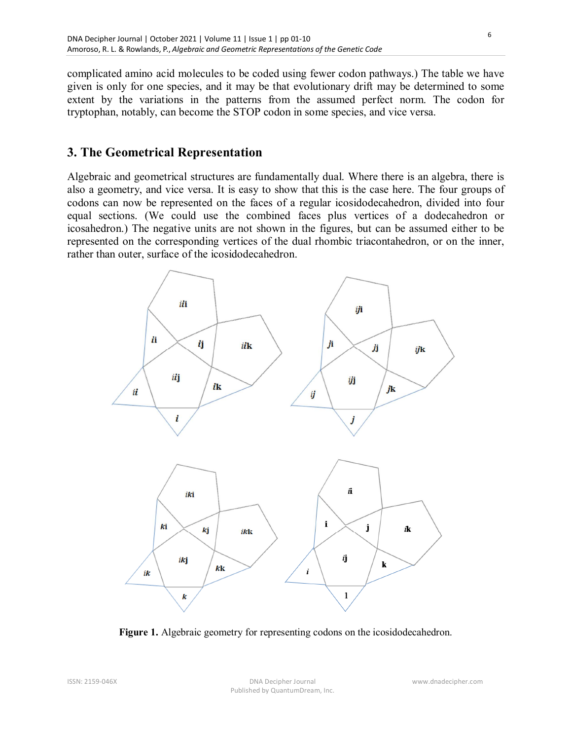complicated amino acid molecules to be coded using fewer codon pathways.) The table we have given is only for one species, and it may be that evolutionary drift may be determined to some extent by the variations in the patterns from the assumed perfect norm. The codon for tryptophan, notably, can become the STOP codon in some species, and vice versa.

## **3. The Geometrical Representation**

Algebraic and geometrical structures are fundamentally dual. Where there is an algebra, there is also a geometry, and vice versa. It is easy to show that this is the case here. The four groups of codons can now be represented on the faces of a regular icosidodecahedron, divided into four equal sections. (We could use the combined faces plus vertices of a dodecahedron or icosahedron.) The negative units are not shown in the figures, but can be assumed either to be represented on the corresponding vertices of the dual rhombic triacontahedron, or on the inner, rather than outer, surface of the icosidodecahedron.



**Figure 1.** Algebraic geometry for representing codons on the icosidodecahedron.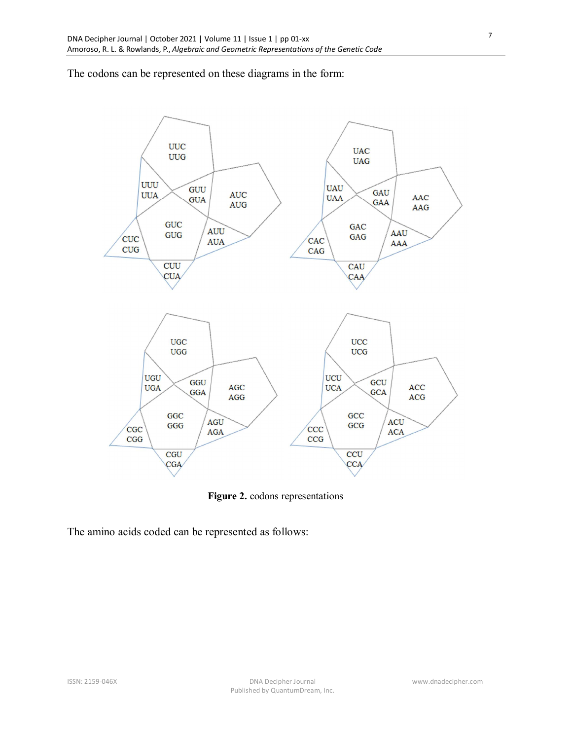The codons can be represented on these diagrams in the form:



**Figure 2.** codons representations

The amino acids coded can be represented as follows: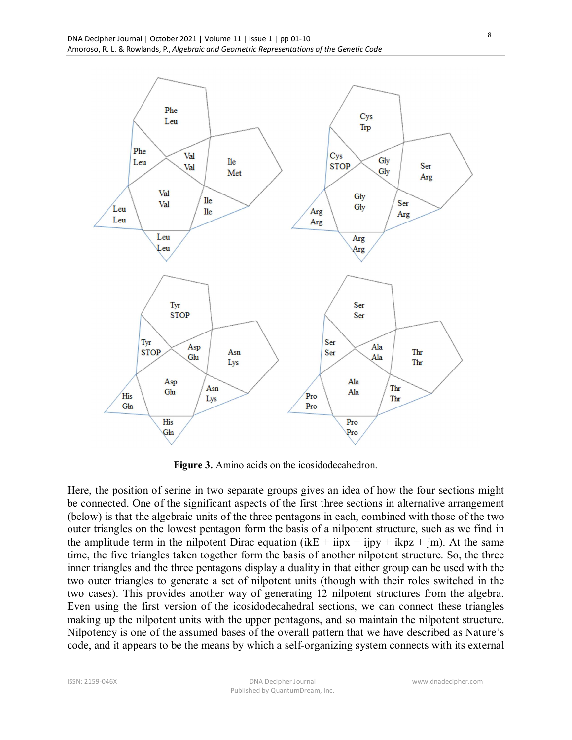

**Figure 3.** Amino acids on the icosidodecahedron.

Here, the position of serine in two separate groups gives an idea of how the four sections might be connected. One of the significant aspects of the first three sections in alternative arrangement (below) is that the algebraic units of the three pentagons in each, combined with those of the two outer triangles on the lowest pentagon form the basis of a nilpotent structure, such as we find in the amplitude term in the nilpotent Dirac equation (ikE + iipx + iipy + ikpz + im). At the same time, the five triangles taken together form the basis of another nilpotent structure. So, the three inner triangles and the three pentagons display a duality in that either group can be used with the two outer triangles to generate a set of nilpotent units (though with their roles switched in the two cases). This provides another way of generating 12 nilpotent structures from the algebra. Even using the first version of the icosidodecahedral sections, we can connect these triangles making up the nilpotent units with the upper pentagons, and so maintain the nilpotent structure. Nilpotency is one of the assumed bases of the overall pattern that we have described as Nature's code, and it appears to be the means by which a self-organizing system connects with its external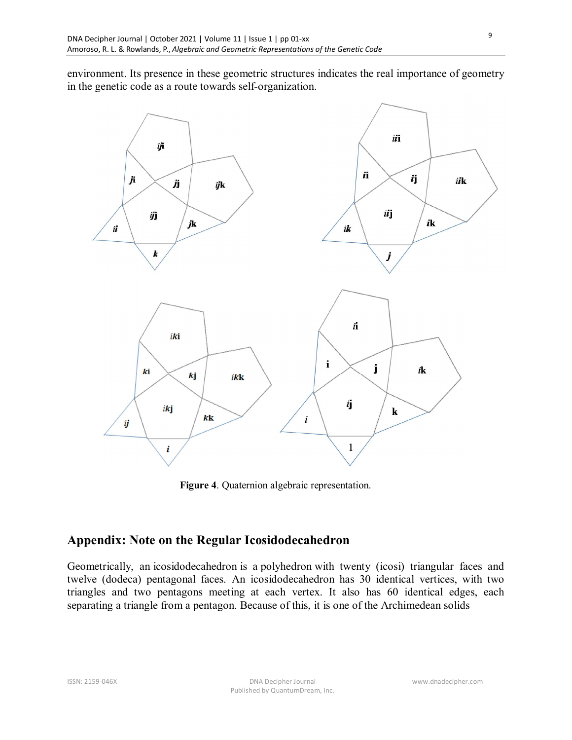environment. Its presence in these geometric structures indicates the real importance of geometry in the genetic code as a route towards self-organization.



**Figure 4**. Quaternion algebraic representation.

## **Appendix: Note on the Regular Icosidodecahedron**

Geometrically, an icosidodecahedron is a polyhedron with twenty (icosi) triangular faces and twelve (dodeca) pentagonal faces. An icosidodecahedron has 30 identical vertices, with two triangles and two pentagons meeting at each vertex. It also has 60 identical edges, each separating a triangle from a pentagon. Because of this, it is one of the Archimedean solids